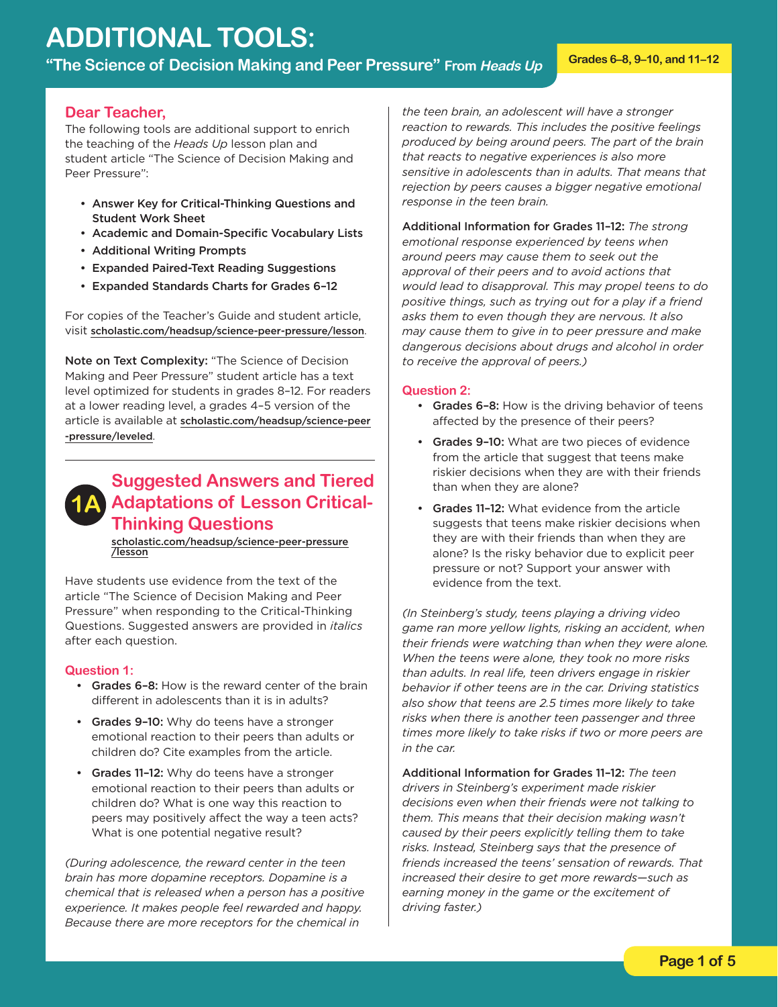# **ADDITIONAL TOOLS:**

**"The Science of Decision Making and Peer Pressure" From Heads Up Grades 6–8, 9–10, and 11–12** 

#### **Dear Teacher,**

The following tools are additional support to enrich the teaching of the *Heads Up* lesson plan and student article "The Science of Decision Making and Peer Pressure":

- Answer Key for Critical-Thinking Questions and Student Work Sheet
- Academic and Domain-Specific Vocabulary Lists
- Additional Writing Prompts
- Expanded Paired-Text Reading Suggestions
- Expanded Standards Charts for Grades 6–12

For copies of the Teacher's Guide and student article, visit [scholastic.com/headsup/science-peer-pressure/lesson](http://scholastic.com/headsup/science-peer-pressure/lesson).

Note on Text Complexity: "The Science of Decision Making and Peer Pressure" student article has a text level optimized for students in grades 8–12. For readers at a lower reading level, a grades 4–5 version of the article is available at [scholastic.com/headsup/science-peer](http://scholastic.com/headsup/science-peer-pressure/leveled) -pressure/leveled.



### **1A Adaptations of Lesson Critical-Suggested Answers and Tiered Thinking Questions**

Ī [scholastic.com/headsup/science-peer-pressure](http://scholastic.com/headsup/science-peer-pressure/lesson) /lesson

Have students use evidence from the text of the article "The Science of Decision Making and Peer Pressure" when responding to the Critical-Thinking Questions. Suggested answers are provided in *italics*  after each question.

#### **Question 1:**

- Grades 6-8: How is the reward center of the brain different in adolescents than it is in adults?
- Grades 9-10: Why do teens have a stronger emotional reaction to their peers than adults or children do? Cite examples from the article.
- Grades 11-12: Why do teens have a stronger What is one potential negative result? emotional reaction to their peers than adults or children do? What is one way this reaction to peers may positively affect the way a teen acts?

*(During adolescence, the reward center in the teen brain has more dopamine receptors. Dopamine is a chemical that is released when a person has a positive experience. It makes people feel rewarded and happy. Because there are more receptors for the chemical in* 

*the teen brain, an adolescent will have a stronger reaction to rewards. This includes the positive feelings produced by being around peers. The part of the brain that reacts to negative experiences is also more sensitive in adolescents than in adults. That means that rejection by peers causes a bigger negative emotional response in the teen brain.* 

Additional Information for Grades 11–12: *The strong emotional response experienced by teens when around peers may cause them to seek out the approval of their peers and to avoid actions that would lead to disapproval. This may propel teens to do positive things, such as trying out for a play if a friend asks them to even though they are nervous. It also may cause them to give in to peer pressure and make dangerous decisions about drugs and alcohol in order to receive the approval of peers.)* 

#### **Question 2:**

- Grades 6-8: How is the driving behavior of teens affected by the presence of their peers?
- Grades 9-10: What are two pieces of evidence from the article that suggest that teens make riskier decisions when they are with their friends than when they are alone?
- Grades 11-12: What evidence from the article suggests that teens make riskier decisions when they are with their friends than when they are alone? Is the risky behavior due to explicit peer pressure or not? Support your answer with evidence from the text.

*(In Steinberg's study, teens playing a driving video game ran more yellow lights, risking an accident, when their friends were watching than when they were alone. When the teens were alone, they took no more risks than adults. In real life, teen drivers engage in riskier behavior if other teens are in the car. Driving statistics also show that teens are 2.5 times more likely to take risks when there is another teen passenger and three times more likely to take risks if two or more peers are in the car.* 

Additional Information for Grades 11–12: *The teen drivers in Steinberg's experiment made riskier decisions even when their friends were not talking to them. This means that their decision making wasn't caused by their peers explicitly telling them to take risks. Instead, Steinberg says that the presence of friends increased the teens' sensation of rewards. That increased their desire to get more rewards—such as earning money in the game or the excitement of driving faster.)*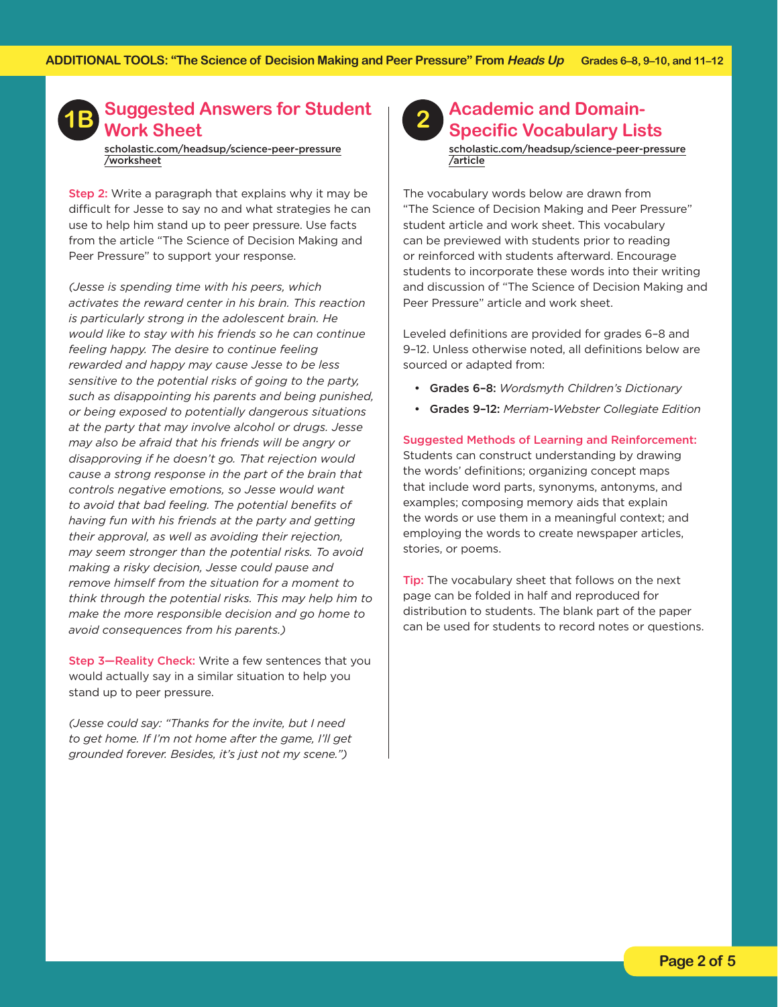

[scholastic.com/headsup/science-peer-pressure](http://scholastic.com/headsup/science-peer-pressure/worksheet) /worksheet

Step 2: Write a paragraph that explains why it may be difficult for Jesse to say no and what strategies he can use to help him stand up to peer pressure. Use facts from the article "The Science of Decision Making and Peer Pressure" to support your response.

*(Jesse is spending time with his peers, which activates the reward center in his brain. This reaction is particularly strong in the adolescent brain. He would like to stay with his friends so he can continue feeling happy. The desire to continue feeling rewarded and happy may cause Jesse to be less sensitive to the potential risks of going to the party, such as disappointing his parents and being punished, or being exposed to potentially dangerous situations at the party that may involve alcohol or drugs. Jesse may also be afraid that his friends will be angry or disapproving if he doesn't go. That rejection would cause a strong response in the part of the brain that controls negative emotions, so Jesse would want to avoid that bad feeling. The potential benefits of having fun with his friends at the party and getting their approval, as well as avoiding their rejection, may seem stronger than the potential risks. To avoid making a risky decision, Jesse could pause and remove himself from the situation for a moment to think through the potential risks. This may help him to make the more responsible decision and go home to avoid consequences from his parents.)* 

Step 3-Reality Check: Write a few sentences that you stand up to peer pressure. would actually say in a similar situation to help you

*(Jesse could say: "Thanks for the invite, but I need to get home. If I'm not home after the game, I'll get grounded forever. Besides, it's just not my scene.")* 



### **Academic and Domain-Specific Vocabulary Lists**

[scholastic.com/headsup/science-peer-pressure](http://scholastic.com/headsup/science-peer-pressure/article) /article

Peer Pressure" article and work sheet. The vocabulary words below are drawn from "The Science of Decision Making and Peer Pressure" student article and work sheet. This vocabulary can be previewed with students prior to reading or reinforced with students afterward. Encourage students to incorporate these words into their writing and discussion of "The Science of Decision Making and

Leveled definitions are provided for grades 6-8 and 9–12. Unless otherwise noted, all definitions below are sourced or adapted from:

- • Grades 6–8: *Wordsmyth Children's Dictionary*
- • Grades 9–12: *Merriam-Webster Collegiate Edition*

 Suggested Methods of Learning and Reinforcement: Students can construct understanding by drawing the words' definitions; organizing concept maps that include word parts, synonyms, antonyms, and examples; composing memory aids that explain the words or use them in a meaningful context; and employing the words to create newspaper articles, stories, or poems.

Tip: The vocabulary sheet that follows on the next page can be folded in half and reproduced for distribution to students. The blank part of the paper can be used for students to record notes or questions.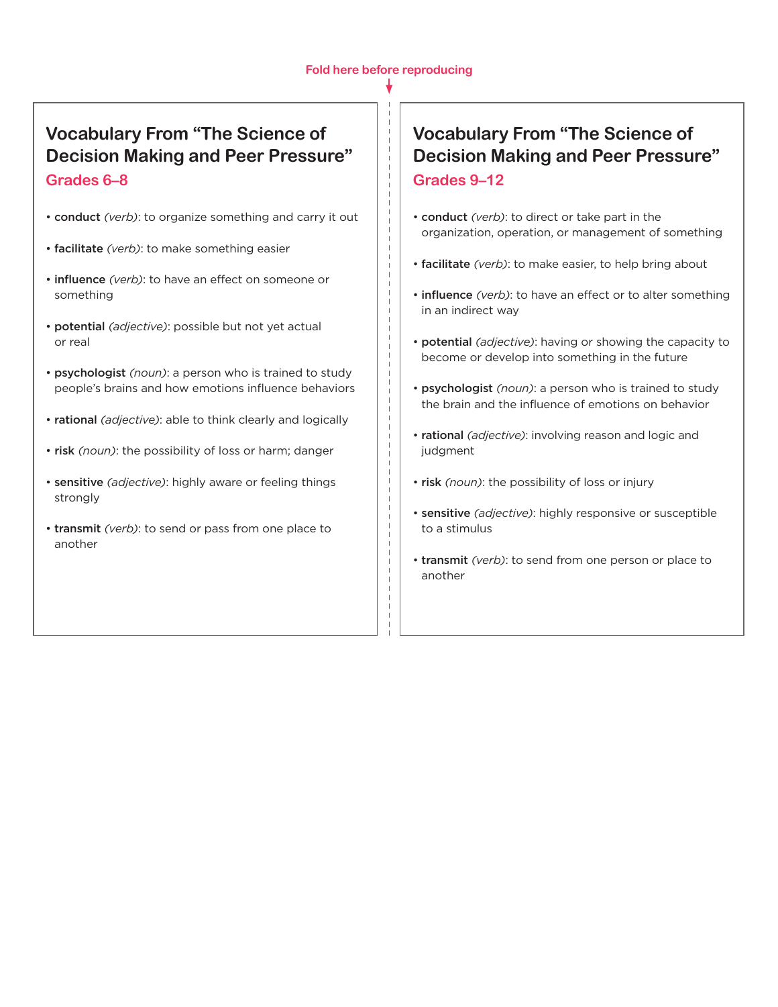### **Vocabulary From "The Science of Decision Making and Peer Pressure" Grades 6–8**

- conduct *(verb)*: to organize something and carry it out
- facilitate *(verb)*: to make something easier
- influence *(verb)*: to have an effect on someone or something
- potential *(adjective)*: possible but not yet actual or real
- psychologist *(noun)*: a person who is trained to study people's brains and how emotions influence behaviors
- rational *(adjective)*: able to think clearly and logically
- risk *(noun)*: the possibility of loss or harm; danger
- sensitive *(adjective)*: highly aware or feeling things strongly
- transmit *(verb)*: to send or pass from one place to another

### **Vocabulary From "The Science of Decision Making and Peer Pressure" Grades 9–12**

- conduct *(verb)*: to direct or take part in the organization, operation, or management of something
- facilitate *(verb)*: to make easier, to help bring about
- influence *(verb)*: to have an effect or to alter something in an indirect way
- potential *(adjective)*: having or showing the capacity to become or develop into something in the future
- psychologist *(noun)*: a person who is trained to study the brain and the influence of emotions on behavior
- rational *(adjective)*: involving reason and logic and judgment
- risk *(noun)*: the possibility of loss or injury
- sensitive *(adjective)*: highly responsive or susceptible to a stimulus
- transmit *(verb)*: to send from one person or place to another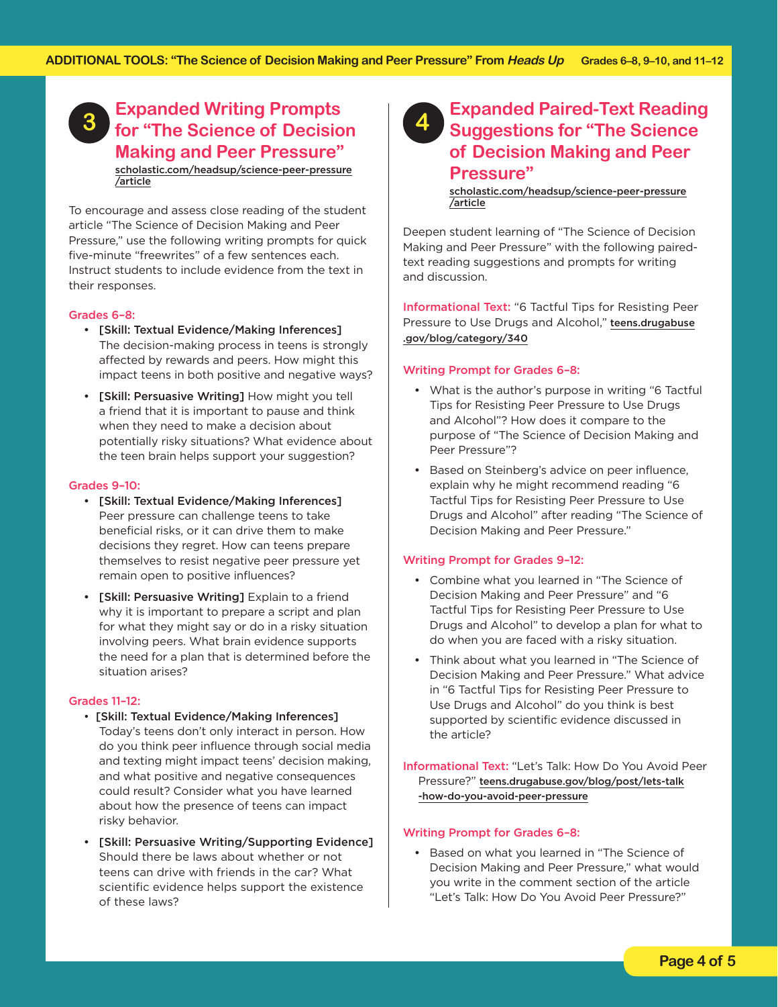#### **Expanded Writing Prompts for "The Science of Decision Making and Peer Pressure" 3**  [scholastic.com/headsup/science-peer-pressure](http://scholastic.com/headsup/science-peer-pressure/article) /article

To encourage and assess close reading of the student article "The Science of Decision Making and Peer Pressure," use the following writing prompts for quick five-minute "freewrites" of a few sentences each. Instruct students to include evidence from the text in their responses.

#### Grades 6–8:

- • [Skill: Textual Evidence/Making Inferences] The decision-making process in teens is strongly affected by rewards and peers. How might this impact teens in both positive and negative ways?
- [Skill: Persuasive Writing] How might you tell a friend that it is important to pause and think when they need to make a decision about potentially risky situations? What evidence about the teen brain helps support your suggestion?

#### Grades 9–10:

- • [Skill: Textual Evidence/Making Inferences] Peer pressure can challenge teens to take beneficial risks, or it can drive them to make decisions they regret. How can teens prepare themselves to resist negative peer pressure yet remain open to positive influences?
- [Skill: Persuasive Writing] Explain to a friend why it is important to prepare a script and plan for what they might say or do in a risky situation involving peers. What brain evidence supports the need for a plan that is determined before the situation arises?

#### Grades 11–12:

- [Skill: Textual Evidence/Making Inferences] Today's teens don't only interact in person. How do you think peer influence through social media and texting might impact teens' decision making, and what positive and negative consequences could result? Consider what you have learned about how the presence of teens can impact risky behavior.
- • [Skill: Persuasive Writing/Supporting Evidence] Should there be laws about whether or not teens can drive with friends in the car? What scientific evidence helps support the existence of these laws?



### **Expanded Paired-Text Reading Suggestions for "The Science of Decision Making and Peer Pressure"**

[scholastic.com/headsup/science-peer-pressure](http://scholastic.com/headsup/science-peer-pressure/article) /article

Deepen student learning of "The Science of Decision Making and Peer Pressure" with the following pairedtext reading suggestions and prompts for writing and discussion.

Informational Text: "6 Tactful Tips for Resisting Peer [Pressure to Use Drugs and Alcohol,"](http://teens.drugabuse.gov/blog/category/340) teens.drugabuse .gov/blog/category/340

#### Writing Prompt for Grades 6–8:

- What is the author's purpose in writing "6 Tactful Tips for Resisting Peer Pressure to Use Drugs and Alcohol"? How does it compare to the purpose of "The Science of Decision Making and Peer Pressure"?
- • Based on Steinberg's advice on peer influence, explain why he might recommend reading "6 Tactful Tips for Resisting Peer Pressure to Use Drugs and Alcohol" after reading "The Science of Decision Making and Peer Pressure."

#### Writing Prompt for Grades 9–12:

- • Combine what you learned in "The Science of Decision Making and Peer Pressure" and "6 Tactful Tips for Resisting Peer Pressure to Use Drugs and Alcohol" to develop a plan for what to do when you are faced with a risky situation.
- Think about what you learned in "The Science of Decision Making and Peer Pressure." What advice in "6 Tactful Tips for Resisting Peer Pressure to Use Drugs and Alcohol" do you think is best supported by scientific evidence discussed in the article?

Informational Text: "Let's Talk: How Do You Avoid Peer Pressure?" [teens.drugabuse.gov/blog/post/lets-talk](http://teens.drugabuse.gov/blog/post/lets-talk-how-do-you-avoid-peer-pressure) -how-do-you-avoid-peer-pressure

#### Writing Prompt for Grades 6–8:

• Based on what you learned in "The Science of Decision Making and Peer Pressure," what would you write in the comment section of the article "Let's Talk: How Do You Avoid Peer Pressure?"